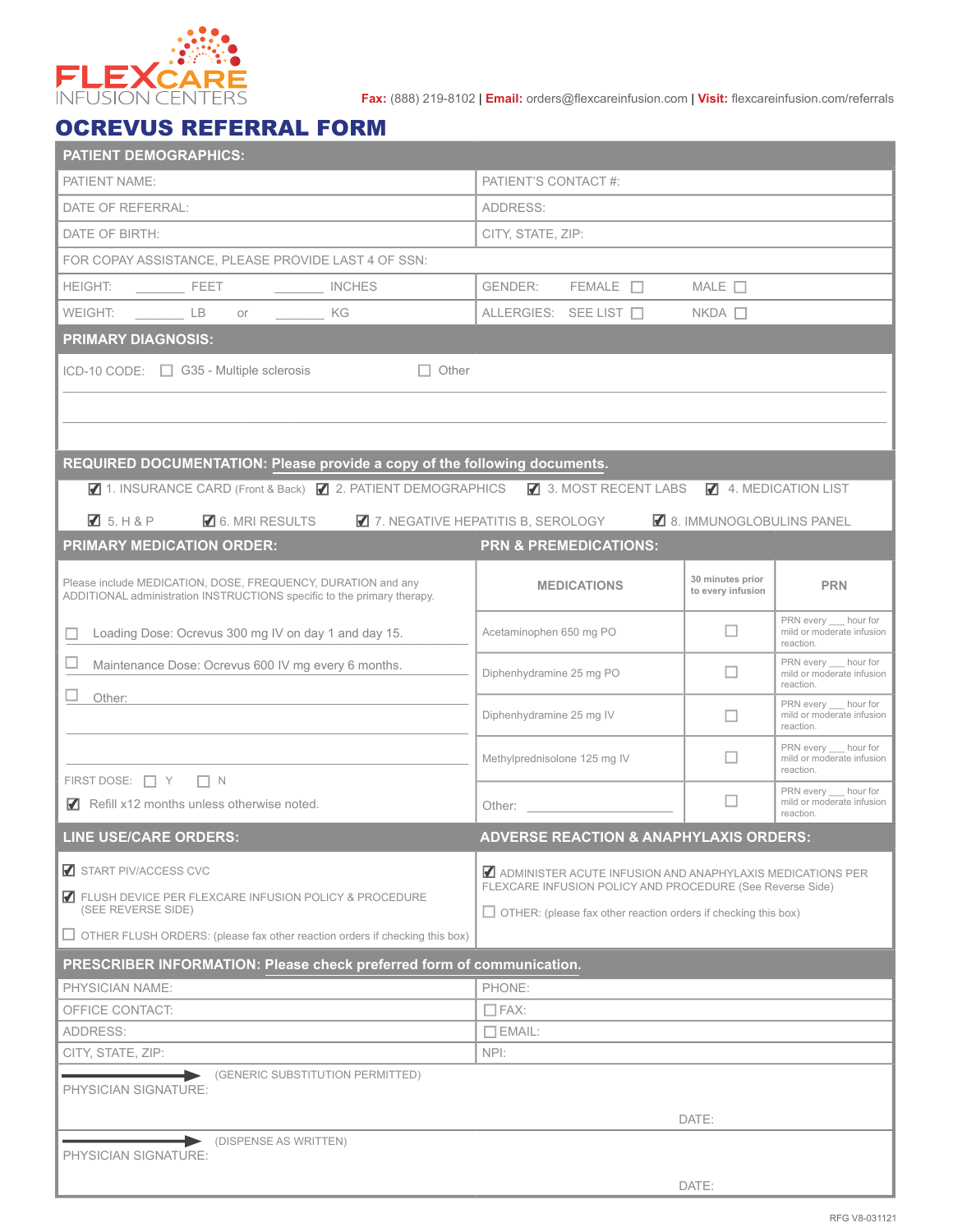

**Fax:** (888) 219-8102 | **Email:** orders@flexcareinfusion.com | **Visit:** flexcareinfusion.com/referrals

## OCREVUS REFERRAL FORM

| <b>PATIENT DEMOGRAPHICS:</b>                                                       |                                                                                                                                                                                                                                |                          |                                                                 |  |  |  |  |  |  |  |
|------------------------------------------------------------------------------------|--------------------------------------------------------------------------------------------------------------------------------------------------------------------------------------------------------------------------------|--------------------------|-----------------------------------------------------------------|--|--|--|--|--|--|--|
| PATIENT NAME:                                                                      | PATIENT'S CONTACT #:                                                                                                                                                                                                           |                          |                                                                 |  |  |  |  |  |  |  |
| DATE OF REFERRAL:                                                                  | ADDRESS:                                                                                                                                                                                                                       |                          |                                                                 |  |  |  |  |  |  |  |
| DATE OF BIRTH:                                                                     | CITY, STATE, ZIP:                                                                                                                                                                                                              |                          |                                                                 |  |  |  |  |  |  |  |
| FOR COPAY ASSISTANCE, PLEASE PROVIDE LAST 4 OF SSN:                                |                                                                                                                                                                                                                                |                          |                                                                 |  |  |  |  |  |  |  |
|                                                                                    | $FEMALE$ $\Box$ MALE $\Box$<br>GENDER:                                                                                                                                                                                         |                          |                                                                 |  |  |  |  |  |  |  |
| WEIGHT: LB or<br>KG KG                                                             | ALLERGIES: SEE LIST □                                                                                                                                                                                                          | $NKDA$ $\Box$            |                                                                 |  |  |  |  |  |  |  |
| <b>PRIMARY DIAGNOSIS:</b>                                                          |                                                                                                                                                                                                                                |                          |                                                                 |  |  |  |  |  |  |  |
| ICD-10 CODE: $\Box$ G35 - Multiple sclerosis<br>$\Box$ Other                       |                                                                                                                                                                                                                                |                          |                                                                 |  |  |  |  |  |  |  |
|                                                                                    |                                                                                                                                                                                                                                |                          |                                                                 |  |  |  |  |  |  |  |
|                                                                                    |                                                                                                                                                                                                                                |                          |                                                                 |  |  |  |  |  |  |  |
|                                                                                    |                                                                                                                                                                                                                                |                          |                                                                 |  |  |  |  |  |  |  |
| REQUIRED DOCUMENTATION: Please provide a copy of the following documents.          |                                                                                                                                                                                                                                |                          |                                                                 |  |  |  |  |  |  |  |
| ■ 1. INSURANCE CARD (Front & Back) ■ 2. PATIENT DEMOGRAPHICS ■ 3. MOST RECENT LABS |                                                                                                                                                                                                                                |                          | 4. MEDICATION LIST                                              |  |  |  |  |  |  |  |
| $\blacksquare$ 5. H & P<br>6. MRI RESULTS                                          | 7. NEGATIVE HEPATITIS B, SEROLOGY                                                                                                                                                                                              | 8. IMMUNOGLOBULINS PANEL |                                                                 |  |  |  |  |  |  |  |
| <b>PRIMARY MEDICATION ORDER:</b>                                                   | <b>PRN &amp; PREMEDICATIONS:</b>                                                                                                                                                                                               |                          |                                                                 |  |  |  |  |  |  |  |
| Please include MEDICATION, DOSE, FREQUENCY, DURATION and any                       | <b>MEDICATIONS</b>                                                                                                                                                                                                             | 30 minutes prior         | <b>PRN</b>                                                      |  |  |  |  |  |  |  |
| ADDITIONAL administration INSTRUCTIONS specific to the primary therapy.            |                                                                                                                                                                                                                                | to every infusion        |                                                                 |  |  |  |  |  |  |  |
| Loading Dose: Ocrevus 300 mg IV on day 1 and day 15.                               | Acetaminophen 650 mg PO                                                                                                                                                                                                        | $\Box$                   | PRN every hour for<br>mild or moderate infusion                 |  |  |  |  |  |  |  |
| Maintenance Dose: Ocrevus 600 IV mg every 6 months.                                |                                                                                                                                                                                                                                |                          | reaction.<br>PRN every hour for                                 |  |  |  |  |  |  |  |
|                                                                                    | Diphenhydramine 25 mg PO                                                                                                                                                                                                       | ш                        | mild or moderate infusion<br>reaction.                          |  |  |  |  |  |  |  |
| Other:                                                                             | Diphenhydramine 25 mg IV                                                                                                                                                                                                       | П                        | PRN every hour for<br>mild or moderate infusion                 |  |  |  |  |  |  |  |
|                                                                                    |                                                                                                                                                                                                                                |                          | reaction.                                                       |  |  |  |  |  |  |  |
|                                                                                    | Methylprednisolone 125 mg IV                                                                                                                                                                                                   | ш                        | PRN every __ hour for<br>mild or moderate infusion<br>reaction. |  |  |  |  |  |  |  |
| FIRST DOSE: $\Box Y$ $\Box N$                                                      |                                                                                                                                                                                                                                |                          | PRN every __ hour for                                           |  |  |  |  |  |  |  |
| Refill x12 months unless otherwise noted.                                          | Other: and the control of the control of the control of the control of the control of the control of the control of the control of the control of the control of the control of the control of the control of the control of t | П                        | mild or moderate infusion<br>reaction.                          |  |  |  |  |  |  |  |
| <b>ADVERSE REACTION &amp; ANAPHYLAXIS ORDERS:</b><br><b>LINE USE/CARE ORDERS:</b>  |                                                                                                                                                                                                                                |                          |                                                                 |  |  |  |  |  |  |  |
| START PIV/ACCESS CVC                                                               | ADMINISTER ACUTE INFUSION AND ANAPHYLAXIS MEDICATIONS PER                                                                                                                                                                      |                          |                                                                 |  |  |  |  |  |  |  |
| ELUSH DEVICE PER FLEXCARE INFUSION POLICY & PROCEDURE                              | FLEXCARE INFUSION POLICY AND PROCEDURE (See Reverse Side)                                                                                                                                                                      |                          |                                                                 |  |  |  |  |  |  |  |
| (SEE REVERSE SIDE)                                                                 | $\Box$ OTHER: (please fax other reaction orders if checking this box)                                                                                                                                                          |                          |                                                                 |  |  |  |  |  |  |  |
| $\Box$ OTHER FLUSH ORDERS: (please fax other reaction orders if checking this box) |                                                                                                                                                                                                                                |                          |                                                                 |  |  |  |  |  |  |  |
| PRESCRIBER INFORMATION: Please check preferred form of communication.              |                                                                                                                                                                                                                                |                          |                                                                 |  |  |  |  |  |  |  |
| PHYSICIAN NAME:                                                                    | PHONE:                                                                                                                                                                                                                         |                          |                                                                 |  |  |  |  |  |  |  |
| OFFICE CONTACT:<br>ADDRESS:                                                        | $\Box$ FAX:                                                                                                                                                                                                                    |                          |                                                                 |  |  |  |  |  |  |  |
| CITY, STATE, ZIP:                                                                  | $\Box$ EMAIL:<br>NPI:                                                                                                                                                                                                          |                          |                                                                 |  |  |  |  |  |  |  |
| (GENERIC SUBSTITUTION PERMITTED)                                                   |                                                                                                                                                                                                                                |                          |                                                                 |  |  |  |  |  |  |  |
| PHYSICIAN SIGNATURE:                                                               |                                                                                                                                                                                                                                |                          |                                                                 |  |  |  |  |  |  |  |
|                                                                                    | DATE:                                                                                                                                                                                                                          |                          |                                                                 |  |  |  |  |  |  |  |
| (DISPENSE AS WRITTEN)<br>PHYSICIAN SIGNATURE:                                      |                                                                                                                                                                                                                                |                          |                                                                 |  |  |  |  |  |  |  |
| DATE:                                                                              |                                                                                                                                                                                                                                |                          |                                                                 |  |  |  |  |  |  |  |
|                                                                                    |                                                                                                                                                                                                                                |                          |                                                                 |  |  |  |  |  |  |  |